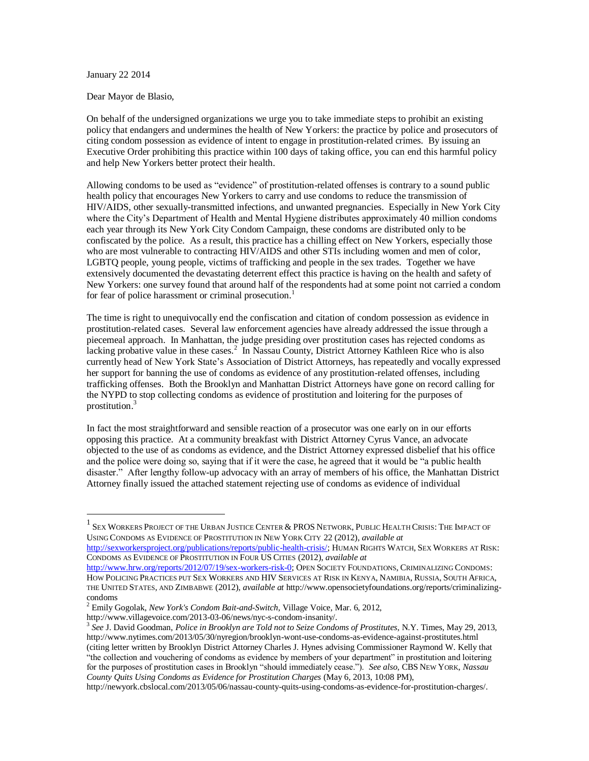## January 22 2014

 $\overline{a}$ 

Dear Mayor de Blasio,

On behalf of the undersigned organizations we urge you to take immediate steps to prohibit an existing policy that endangers and undermines the health of New Yorkers: the practice by police and prosecutors of citing condom possession as evidence of intent to engage in prostitution-related crimes. By issuing an Executive Order prohibiting this practice within 100 days of taking office, you can end this harmful policy and help New Yorkers better protect their health.

Allowing condoms to be used as "evidence" of prostitution-related offenses is contrary to a sound public health policy that encourages New Yorkers to carry and use condoms to reduce the transmission of HIV/AIDS, other sexually-transmitted infections, and unwanted pregnancies. Especially in New York City where the City's Department of Health and Mental Hygiene distributes approximately 40 million condoms each year through its New York City Condom Campaign, these condoms are distributed only to be confiscated by the police. As a result, this practice has a chilling effect on New Yorkers, especially those who are most vulnerable to contracting HIV/AIDS and other STIs including women and men of color, LGBTQ people, young people, victims of trafficking and people in the sex trades. Together we have extensively documented the devastating deterrent effect this practice is having on the health and safety of New Yorkers: one survey found that around half of the respondents had at some point not carried a condom for fear of police harassment or criminal prosecution.<sup>1</sup>

The time is right to unequivocally end the confiscation and citation of condom possession as evidence in prostitution-related cases. Several law enforcement agencies have already addressed the issue through a piecemeal approach. In Manhattan, the judge presiding over prostitution cases has rejected condoms as lacking probative value in these cases.<sup>2</sup> In Nassau County, District Attorney Kathleen Rice who is also currently head of New York State's Association of District Attorneys, has repeatedly and vocally expressed her support for banning the use of condoms as evidence of any prostitution-related offenses, including trafficking offenses. Both the Brooklyn and Manhattan District Attorneys have gone on record calling for the NYPD to stop collecting condoms as evidence of prostitution and loitering for the purposes of prostitution. 3

In fact the most straightforward and sensible reaction of a prosecutor was one early on in our efforts opposing this practice. At a community breakfast with District Attorney Cyrus Vance, an advocate objected to the use of as condoms as evidence, and the District Attorney expressed disbelief that his office and the police were doing so, saying that if it were the case, he agreed that it would be "a public health disaster." After lengthy follow-up advocacy with an array of members of his office, the Manhattan District Attorney finally issued the attached statement rejecting use of condoms as evidence of individual

[http://sexworkersproject.org/publications/reports/public-health-crisis/;](http://sexworkersproject.org/publications/reports/public-health-crisis/) HUMAN RIGHTS WATCH, SEX WORKERS AT RISK: CONDOMS AS EVIDENCE OF PROSTITUTION IN FOUR US CITIES (2012), *available at* 

http://www.villagevoice.com/2013-03-06/news/nyc-s-condom-insanity/.

<sup>1</sup> SEX WORKERS PROJECT OF THE URBAN JUSTICE CENTER & PROS NETWORK, PUBLIC HEALTH CRISIS: THE IMPACT OF USING CONDOMS AS EVIDENCE OF PROSTITUTION IN NEW YORK CITY 22 (2012), *available at*

[http://www.hrw.org/reports/2012/07/19/sex-workers-risk-0;](http://www.hrw.org/reports/2012/07/19/sex-workers-risk-0) OPEN SOCIETY FOUNDATIONS, CRIMINALIZING CONDOMS: HOW POLICING PRACTICES PUT SEX WORKERS AND HIV SERVICES AT RISK IN KENYA, NAMIBIA, RUSSIA, SOUTH AFRICA, THE UNITED STATES, AND ZIMBABWE (2012), *available at* http://www.opensocietyfoundations.org/reports/criminalizingcondoms

<sup>2</sup> Emily Gogolak, *New York's Condom [Bait-and-Switch](http://www.villagevoice.com/2013-03-06/news/nyc-s-condom-insanity/)*, Village Voice, Mar. 6, 2012,

<sup>3</sup> *See* J. David Goodman, *Police in Brooklyn are Told not to Seize Condoms of Prostitutes*, N.Y. Times, May 29, 2013, http://www.nytimes.com/2013/05/30/nyregion/brooklyn-wont-use-condoms-as-evidence-against-prostitutes.html (citing letter written by Brooklyn District Attorney Charles J. Hynes advising Commissioner Raymond W. Kelly that "the collection and vouchering of condoms as evidence by members of your department" in prostitution and loitering for the purposes of prostitution cases in Brooklyn "should immediately cease."). *See also*, CBS NEW YORK, *Nassau County Quits Using Condoms as Evidence for Prostitution Charges* (May 6, 2013, 10:08 PM),

http://newyork.cbslocal.com/2013/05/06/nassau-county-quits-using-condoms-as-evidence-for-prostitution-charges/.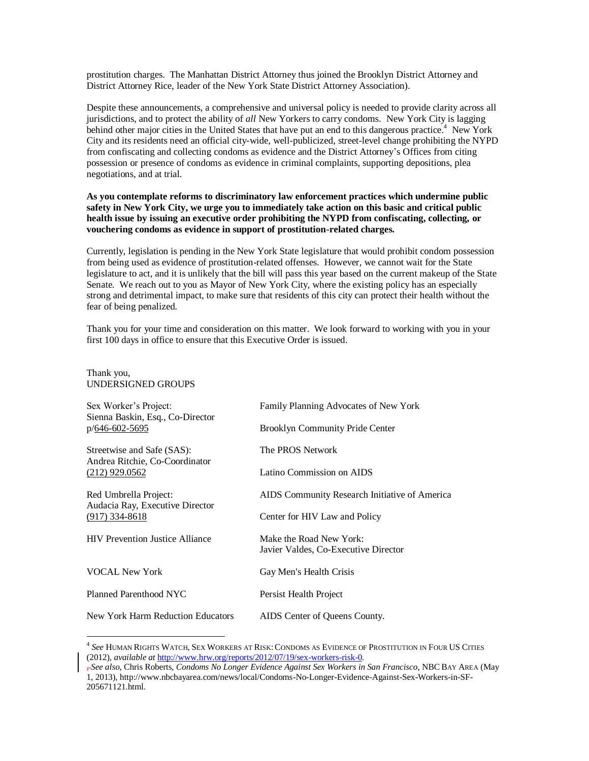prostitution charges. The Manhattan District Attorney thus joined the Brooklyn District Attorney and District Attorney Rice, leader of the New York State District Attorney Association).

Despite these announcements, a comprehensive and universal policy is needed to provide clarity across all jurisdictions, and to protect the ability of *all* New Yorkers to carry condoms. New York City is lagging behind other major cities in the United States that have put an end to this dangerous practice.<sup>4</sup> New York City and its residents need an official city-wide, well-publicized, street-level change prohibiting the NYPD from confiscating and collecting condoms as evidence and the District Attorney's Offices from citing possession or presence of condoms as evidence in criminal complaints, supporting depositions, plea negotiations, and at trial.

## **As you contemplate reforms to discriminatory law enforcement practices which undermine public safety in New York City, we urge you to immediately take action on this basic and critical public health issue by issuing an executive order prohibiting the NYPD from confiscating, collecting, or vouchering condoms as evidence in support of prostitution-related charges.**

Currently, legislation is pending in the New York State legislature that would prohibit condom possession from being used as evidence of prostitution-related offenses. However, we cannot wait for the State legislature to act, and it is unlikely that the bill will pass this year based on the current makeup of the State Senate. We reach out to you as Mayor of New York City, where the existing policy has an especially strong and detrimental impact, to make sure that residents of this city can protect their health without the fear of being penalized.

Thank you for your time and consideration on this matter. We look forward to working with you in your first 100 days in office to ensure that this Executive Order is issued.

## Thank you, UNDERSIGNED GROUPS

 $\overline{a}$ 

| Sex Worker's Project:<br>Sienna Baskin, Esq., Co-Director<br>p/646-602-5695      | Family Planning Advocates of New York                           |
|----------------------------------------------------------------------------------|-----------------------------------------------------------------|
|                                                                                  | <b>Brooklyn Community Pride Center</b>                          |
| Streetwise and Safe (SAS):<br>Andrea Ritchie, Co-Coordinator<br>$(212)$ 929.0562 | The PROS Network                                                |
|                                                                                  | Latino Commission on AIDS                                       |
| Red Umbrella Project:<br>Audacia Ray, Executive Director<br>$(917)$ 334-8618     | AIDS Community Research Initiative of America                   |
|                                                                                  | Center for HIV Law and Policy                                   |
| <b>HIV</b> Prevention Justice Alliance                                           | Make the Road New York:<br>Javier Valdes, Co-Executive Director |
| <b>VOCAL New York</b>                                                            | Gay Men's Health Crisis                                         |
| Planned Parenthood NYC                                                           | Persist Health Project                                          |
| New York Harm Reduction Educators                                                | AIDS Center of Queens County.                                   |

<sup>4</sup> *See* HUMAN RIGHTS WATCH, SEX WORKERS AT RISK:CONDOMS AS EVIDENCE OF PROSTITUTION IN FOUR US CITIES (2012), *available at* [http://www.hrw.org/reports/2012/07/19/sex-workers-risk-0.](http://www.hrw.org/reports/2012/07/19/sex-workers-risk-0) 

<sup>,</sup> *See also*, Chris Roberts, *Condoms No Longer Evidence Against Sex Workers in San Francisco*, NBC BAY AREA (May 1, 2013), http://www.nbcbayarea.com/news/local/Condoms-No-Longer-Evidence-Against-Sex-Workers-in-SF-205671121.html.